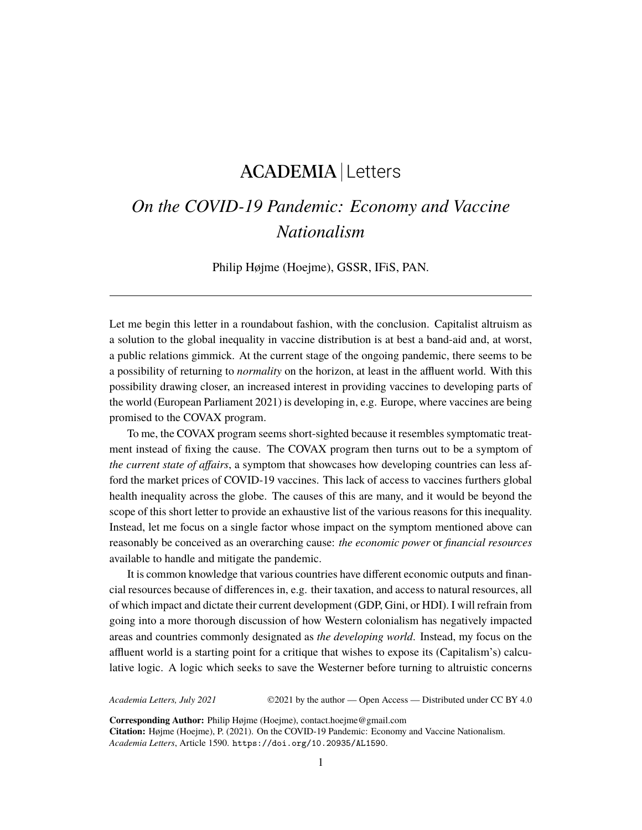## ACADEMIA Letters

## *On the COVID-19 Pandemic: Economy and Vaccine Nationalism*

Philip Højme (Hoejme), GSSR, IFiS, PAN.

Let me begin this letter in a roundabout fashion, with the conclusion. Capitalist altruism as a solution to the global inequality in vaccine distribution is at best a band-aid and, at worst, a public relations gimmick. At the current stage of the ongoing pandemic, there seems to be a possibility of returning to *normality* on the horizon, at least in the affluent world. With this possibility drawing closer, an increased interest in providing vaccines to developing parts of the world (European Parliament 2021) is developing in, e.g. Europe, where vaccines are being promised to the COVAX program.

To me, the COVAX program seems short-sighted because it resembles symptomatic treatment instead of fixing the cause. The COVAX program then turns out to be a symptom of *the current state of affairs*, a symptom that showcases how developing countries can less afford the market prices of COVID-19 vaccines. This lack of access to vaccines furthers global health inequality across the globe. The causes of this are many, and it would be beyond the scope of this short letter to provide an exhaustive list of the various reasons for this inequality. Instead, let me focus on a single factor whose impact on the symptom mentioned above can reasonably be conceived as an overarching cause: *the economic power* or *financial resources* available to handle and mitigate the pandemic.

It is common knowledge that various countries have different economic outputs and financial resources because of differences in, e.g. their taxation, and access to natural resources, all of which impact and dictate their current development (GDP, Gini, or HDI). I will refrain from going into a more thorough discussion of how Western colonialism has negatively impacted areas and countries commonly designated as *the developing world*. Instead, my focus on the affluent world is a starting point for a critique that wishes to expose its (Capitalism's) calculative logic. A logic which seeks to save the Westerner before turning to altruistic concerns

*Academia Letters, July 2021* ©2021 by the author — Open Access — Distributed under CC BY 4.0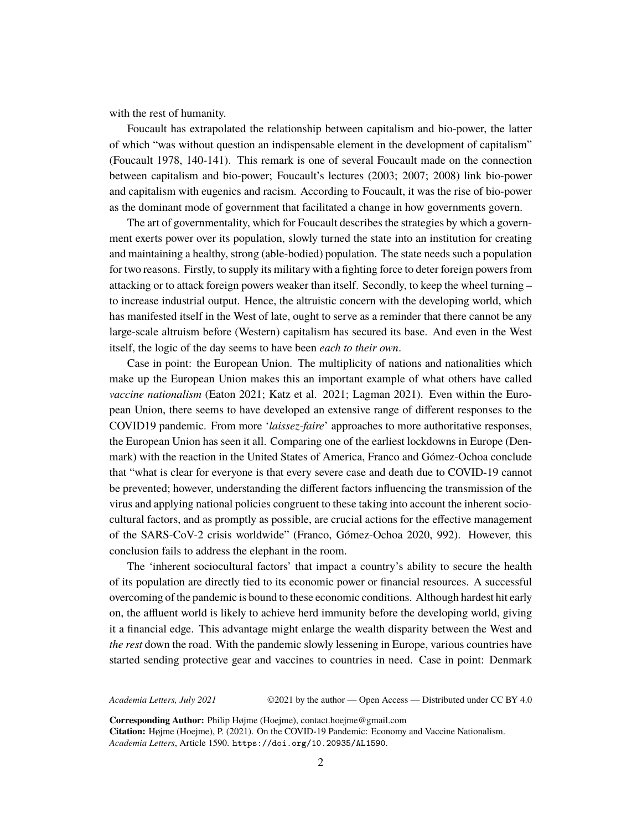with the rest of humanity.

Foucault has extrapolated the relationship between capitalism and bio-power, the latter of which "was without question an indispensable element in the development of capitalism" (Foucault 1978, 140-141). This remark is one of several Foucault made on the connection between capitalism and bio-power; Foucault's lectures (2003; 2007; 2008) link bio-power and capitalism with eugenics and racism. According to Foucault, it was the rise of bio-power as the dominant mode of government that facilitated a change in how governments govern.

The art of governmentality, which for Foucault describes the strategies by which a government exerts power over its population, slowly turned the state into an institution for creating and maintaining a healthy, strong (able-bodied) population. The state needs such a population for two reasons. Firstly, to supply its military with a fighting force to deter foreign powers from attacking or to attack foreign powers weaker than itself. Secondly, to keep the wheel turning – to increase industrial output. Hence, the altruistic concern with the developing world, which has manifested itself in the West of late, ought to serve as a reminder that there cannot be any large-scale altruism before (Western) capitalism has secured its base. And even in the West itself, the logic of the day seems to have been *each to their own*.

Case in point: the European Union. The multiplicity of nations and nationalities which make up the European Union makes this an important example of what others have called *vaccine nationalism* (Eaton 2021; Katz et al. 2021; Lagman 2021). Even within the European Union, there seems to have developed an extensive range of different responses to the COVID19 pandemic. From more '*laissez-faire*' approaches to more authoritative responses, the European Union has seen it all. Comparing one of the earliest lockdowns in Europe (Denmark) with the reaction in the United States of America, Franco and Gómez-Ochoa conclude that "what is clear for everyone is that every severe case and death due to COVID-19 cannot be prevented; however, understanding the different factors influencing the transmission of the virus and applying national policies congruent to these taking into account the inherent sociocultural factors, and as promptly as possible, are crucial actions for the effective management of the SARS-CoV-2 crisis worldwide" (Franco, Gómez-Ochoa 2020, 992). However, this conclusion fails to address the elephant in the room.

The 'inherent sociocultural factors' that impact a country's ability to secure the health of its population are directly tied to its economic power or financial resources. A successful overcoming of the pandemic is bound to these economic conditions. Although hardest hit early on, the affluent world is likely to achieve herd immunity before the developing world, giving it a financial edge. This advantage might enlarge the wealth disparity between the West and *the rest* down the road. With the pandemic slowly lessening in Europe, various countries have started sending protective gear and vaccines to countries in need. Case in point: Denmark

*Academia Letters, July 2021* ©2021 by the author — Open Access — Distributed under CC BY 4.0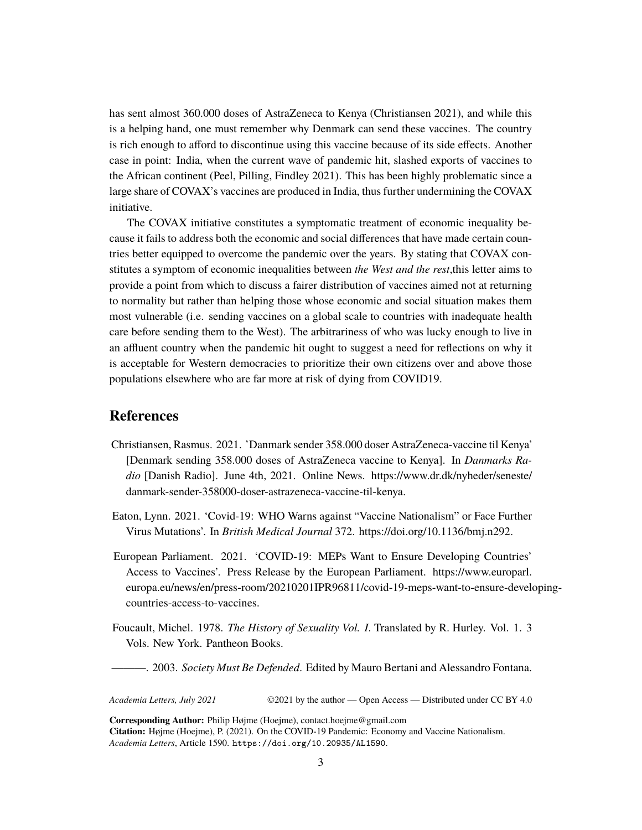has sent almost 360.000 doses of AstraZeneca to Kenya (Christiansen 2021), and while this is a helping hand, one must remember why Denmark can send these vaccines. The country is rich enough to afford to discontinue using this vaccine because of its side effects. Another case in point: India, when the current wave of pandemic hit, slashed exports of vaccines to the African continent (Peel, Pilling, Findley 2021). This has been highly problematic since a large share of COVAX's vaccines are produced in India, thus further undermining the COVAX initiative.

The COVAX initiative constitutes a symptomatic treatment of economic inequality because it fails to address both the economic and social differences that have made certain countries better equipped to overcome the pandemic over the years. By stating that COVAX constitutes a symptom of economic inequalities between *the West and the rest*,this letter aims to provide a point from which to discuss a fairer distribution of vaccines aimed not at returning to normality but rather than helping those whose economic and social situation makes them most vulnerable (i.e. sending vaccines on a global scale to countries with inadequate health care before sending them to the West). The arbitrariness of who was lucky enough to live in an affluent country when the pandemic hit ought to suggest a need for reflections on why it is acceptable for Western democracies to prioritize their own citizens over and above those populations elsewhere who are far more at risk of dying from COVID19.

## **References**

- Christiansen, Rasmus. 2021. 'Danmark sender 358.000 doser AstraZeneca-vaccine til Kenya' [Denmark sending 358.000 doses of AstraZeneca vaccine to Kenya]. In *Danmarks Radio* [Danish Radio]. June 4th, 2021. Online News. https://www.dr.dk/nyheder/seneste/ danmark-sender-358000-doser-astrazeneca-vaccine-til-kenya.
- Eaton, Lynn. 2021. 'Covid-19: WHO Warns against "Vaccine Nationalism" or Face Further Virus Mutations'. In *British Medical Journal* 372. https://doi.org/10.1136/bmj.n292.
- European Parliament. 2021. 'COVID-19: MEPs Want to Ensure Developing Countries' Access to Vaccines'. Press Release by the European Parliament. https://www.europarl. europa.eu/news/en/press-room/20210201IPR96811/covid-19-meps-want-to-ensure-developingcountries-access-to-vaccines.
- Foucault, Michel. 1978. *The History of Sexuality Vol. I*. Translated by R. Hurley. Vol. 1. 3 Vols. New York. Pantheon Books.
- ———. 2003. *Society Must Be Defended*. Edited by Mauro Bertani and Alessandro Fontana.

*Academia Letters, July 2021* ©2021 by the author — Open Access — Distributed under CC BY 4.0